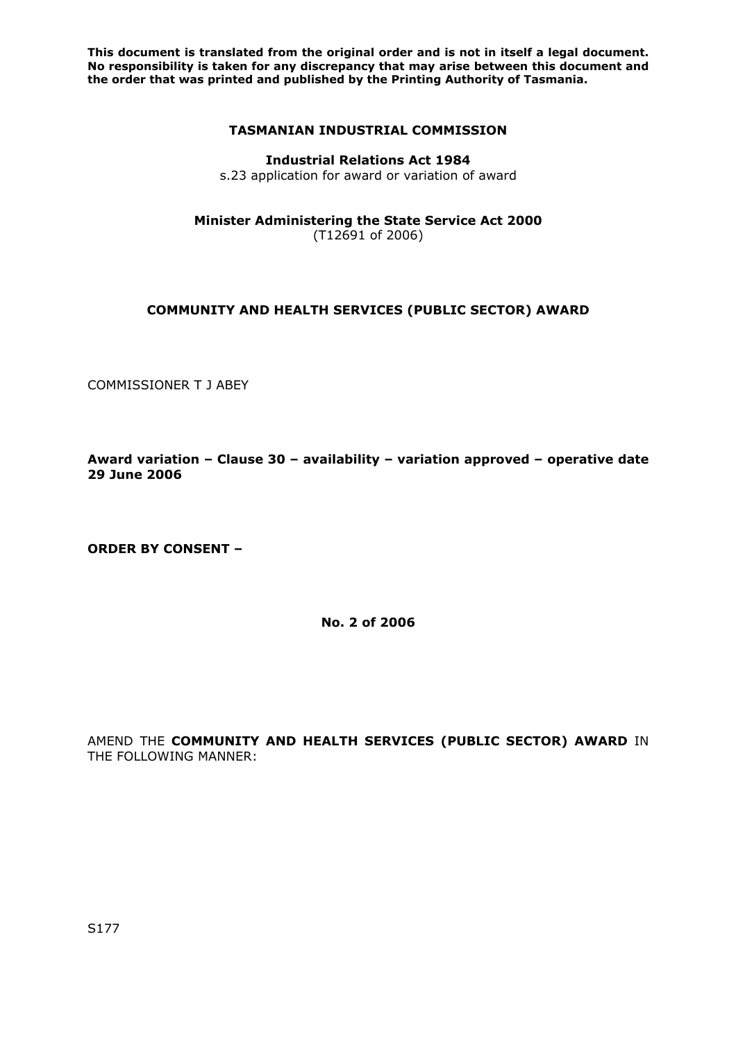## **TASMANIAN INDUSTRIAL COMMISSION**

#### **Industrial Relations Act 1984**

s.23 application for award or variation of award

**Minister Administering the State Service Act 2000**

(T12691 of 2006)

## **COMMUNITY AND HEALTH SERVICES (PUBLIC SECTOR) AWARD**

COMMISSIONER T J ABEY

**Award variation – Clause 30 – availability – variation approved – operative date 29 June 2006** 

**ORDER BY CONSENT –** 

**No. 2 of 2006** 

AMEND THE **COMMUNITY AND HEALTH SERVICES (PUBLIC SECTOR) AWARD** IN THE FOLLOWING MANNER: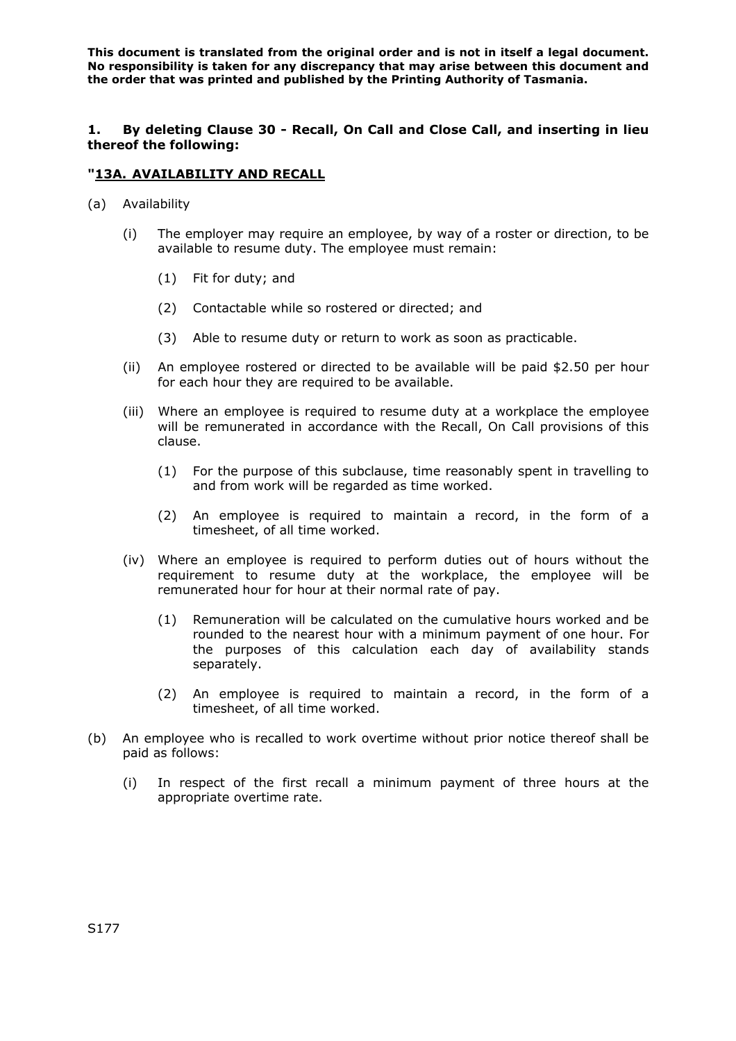**1. By deleting Clause 30 - Recall, On Call and Close Call, and inserting in lieu thereof the following:** 

## **"13A. AVAILABILITY AND RECALL**

- (a) Availability
	- (i) The employer may require an employee, by way of a roster or direction, to be available to resume duty. The employee must remain:
		- (1) Fit for duty; and
		- (2) Contactable while so rostered or directed; and
		- (3) Able to resume duty or return to work as soon as practicable.
	- (ii) An employee rostered or directed to be available will be paid \$2.50 per hour for each hour they are required to be available.
	- (iii) Where an employee is required to resume duty at a workplace the employee will be remunerated in accordance with the Recall, On Call provisions of this clause.
		- (1) For the purpose of this subclause, time reasonably spent in travelling to and from work will be regarded as time worked.
		- (2) An employee is required to maintain a record, in the form of a timesheet, of all time worked.
	- (iv) Where an employee is required to perform duties out of hours without the requirement to resume duty at the workplace, the employee will be remunerated hour for hour at their normal rate of pay.
		- (1) Remuneration will be calculated on the cumulative hours worked and be rounded to the nearest hour with a minimum payment of one hour. For the purposes of this calculation each day of availability stands separately.
		- (2) An employee is required to maintain a record, in the form of a timesheet, of all time worked.
- (b) An employee who is recalled to work overtime without prior notice thereof shall be paid as follows:
	- (i) In respect of the first recall a minimum payment of three hours at the appropriate overtime rate.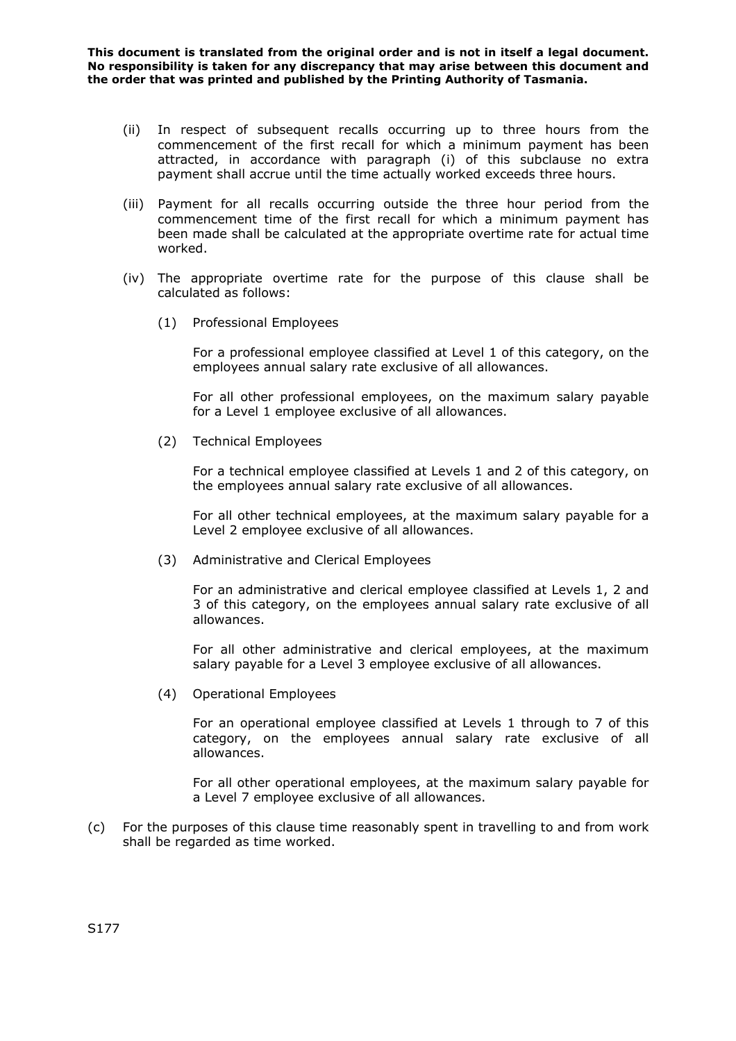- (ii) In respect of subsequent recalls occurring up to three hours from the commencement of the first recall for which a minimum payment has been attracted, in accordance with paragraph (i) of this subclause no extra payment shall accrue until the time actually worked exceeds three hours.
- (iii) Payment for all recalls occurring outside the three hour period from the commencement time of the first recall for which a minimum payment has been made shall be calculated at the appropriate overtime rate for actual time worked.
- (iv) The appropriate overtime rate for the purpose of this clause shall be calculated as follows:
	- (1) Professional Employees

For a professional employee classified at Level 1 of this category, on the employees annual salary rate exclusive of all allowances.

For all other professional employees, on the maximum salary payable for a Level 1 employee exclusive of all allowances.

(2) Technical Employees

For a technical employee classified at Levels 1 and 2 of this category, on the employees annual salary rate exclusive of all allowances.

For all other technical employees, at the maximum salary payable for a Level 2 employee exclusive of all allowances.

(3) Administrative and Clerical Employees

For an administrative and clerical employee classified at Levels 1, 2 and 3 of this category, on the employees annual salary rate exclusive of all allowances.

For all other administrative and clerical employees, at the maximum salary payable for a Level 3 employee exclusive of all allowances.

(4) Operational Employees

For an operational employee classified at Levels 1 through to 7 of this category, on the employees annual salary rate exclusive of all allowances.

For all other operational employees, at the maximum salary payable for a Level 7 employee exclusive of all allowances.

(c) For the purposes of this clause time reasonably spent in travelling to and from work shall be regarded as time worked.